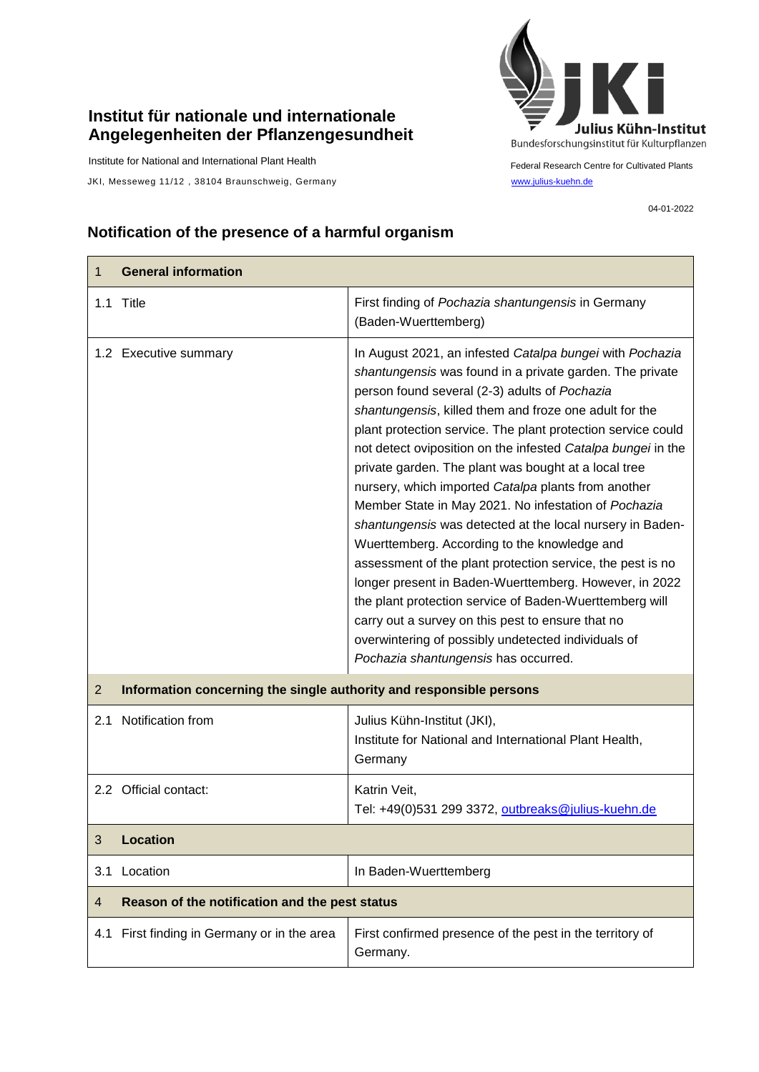## **Institut für nationale und internationale Angelegenheiten der Pflanzengesundheit**

Institute for National and International Plant Health

 $\mathbf{r}$ 

JKI, Messeweg 11/12, 38104 Braunschweig, Germany [www.julius-kuehn.de](http://www.julius-kuehn.de/)



Federal Research Centre for Cultivated Plants

04-01-2022

 $\overline{\phantom{a}}$ 

## **Notification of the presence of a harmful organism**

| 1   | <b>General information</b>                                          |                                                                                                                                                                                                                                                                                                                                                                                                                                                                                                                                                                                                                                                                                                                                                                                                                                                                                                                                                                                            |
|-----|---------------------------------------------------------------------|--------------------------------------------------------------------------------------------------------------------------------------------------------------------------------------------------------------------------------------------------------------------------------------------------------------------------------------------------------------------------------------------------------------------------------------------------------------------------------------------------------------------------------------------------------------------------------------------------------------------------------------------------------------------------------------------------------------------------------------------------------------------------------------------------------------------------------------------------------------------------------------------------------------------------------------------------------------------------------------------|
|     | 1.1 Title                                                           | First finding of Pochazia shantungensis in Germany<br>(Baden-Wuerttemberg)                                                                                                                                                                                                                                                                                                                                                                                                                                                                                                                                                                                                                                                                                                                                                                                                                                                                                                                 |
|     | 1.2 Executive summary                                               | In August 2021, an infested Catalpa bungei with Pochazia<br>shantungensis was found in a private garden. The private<br>person found several (2-3) adults of Pochazia<br>shantungensis, killed them and froze one adult for the<br>plant protection service. The plant protection service could<br>not detect oviposition on the infested Catalpa bungei in the<br>private garden. The plant was bought at a local tree<br>nursery, which imported Catalpa plants from another<br>Member State in May 2021. No infestation of Pochazia<br>shantungensis was detected at the local nursery in Baden-<br>Wuerttemberg. According to the knowledge and<br>assessment of the plant protection service, the pest is no<br>longer present in Baden-Wuerttemberg. However, in 2022<br>the plant protection service of Baden-Wuerttemberg will<br>carry out a survey on this pest to ensure that no<br>overwintering of possibly undetected individuals of<br>Pochazia shantungensis has occurred. |
| 2   | Information concerning the single authority and responsible persons |                                                                                                                                                                                                                                                                                                                                                                                                                                                                                                                                                                                                                                                                                                                                                                                                                                                                                                                                                                                            |
| 2.1 | Notification from                                                   | Julius Kühn-Institut (JKI),<br>Institute for National and International Plant Health,<br>Germany                                                                                                                                                                                                                                                                                                                                                                                                                                                                                                                                                                                                                                                                                                                                                                                                                                                                                           |
|     | 2.2 Official contact:                                               | Katrin Veit,<br>Tel: +49(0)531 299 3372, outbreaks@julius-kuehn.de                                                                                                                                                                                                                                                                                                                                                                                                                                                                                                                                                                                                                                                                                                                                                                                                                                                                                                                         |
| 3   | <b>Location</b>                                                     |                                                                                                                                                                                                                                                                                                                                                                                                                                                                                                                                                                                                                                                                                                                                                                                                                                                                                                                                                                                            |
| 3.1 | Location                                                            | In Baden-Wuerttemberg                                                                                                                                                                                                                                                                                                                                                                                                                                                                                                                                                                                                                                                                                                                                                                                                                                                                                                                                                                      |
| 4   | Reason of the notification and the pest status                      |                                                                                                                                                                                                                                                                                                                                                                                                                                                                                                                                                                                                                                                                                                                                                                                                                                                                                                                                                                                            |
| 4.1 | First finding in Germany or in the area                             | First confirmed presence of the pest in the territory of<br>Germany.                                                                                                                                                                                                                                                                                                                                                                                                                                                                                                                                                                                                                                                                                                                                                                                                                                                                                                                       |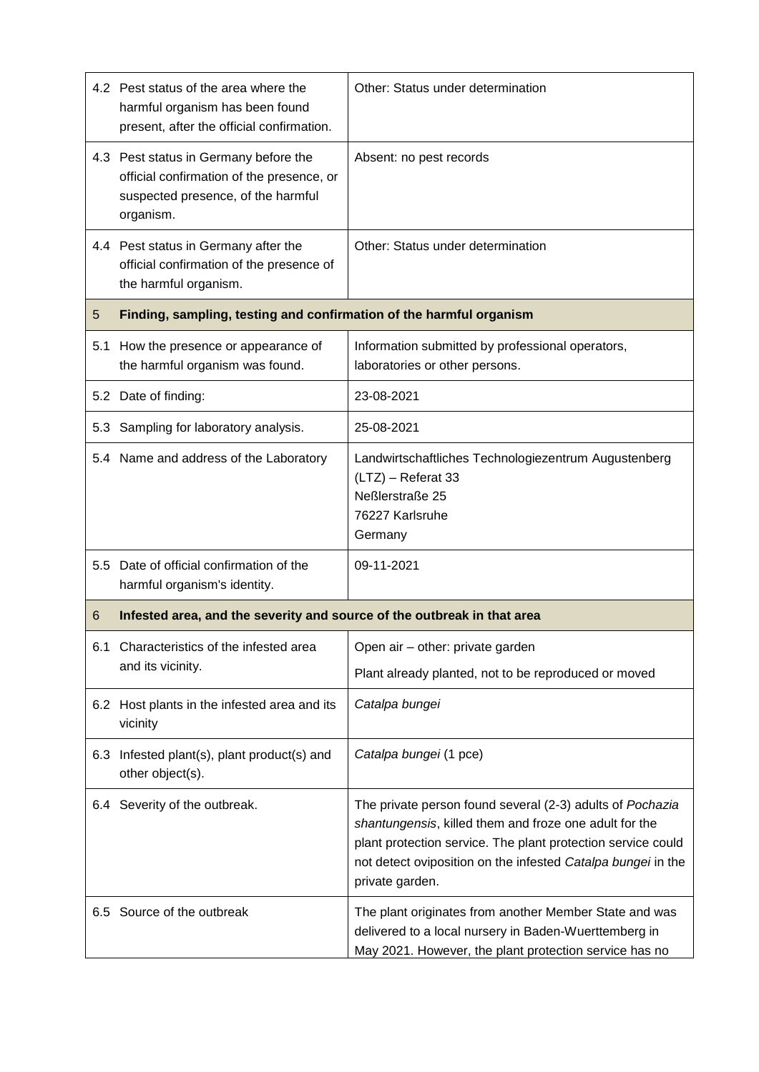|     | 4.2 Pest status of the area where the<br>harmful organism has been found<br>present, after the official confirmation.                 | Other: Status under determination                                                                                                                                                                                                                                      |  |
|-----|---------------------------------------------------------------------------------------------------------------------------------------|------------------------------------------------------------------------------------------------------------------------------------------------------------------------------------------------------------------------------------------------------------------------|--|
|     | 4.3 Pest status in Germany before the<br>official confirmation of the presence, or<br>suspected presence, of the harmful<br>organism. | Absent: no pest records                                                                                                                                                                                                                                                |  |
|     | 4.4 Pest status in Germany after the<br>official confirmation of the presence of<br>the harmful organism.                             | Other: Status under determination                                                                                                                                                                                                                                      |  |
| 5   | Finding, sampling, testing and confirmation of the harmful organism                                                                   |                                                                                                                                                                                                                                                                        |  |
| 5.1 | How the presence or appearance of<br>the harmful organism was found.                                                                  | Information submitted by professional operators,<br>laboratories or other persons.                                                                                                                                                                                     |  |
|     | 5.2 Date of finding:                                                                                                                  | 23-08-2021                                                                                                                                                                                                                                                             |  |
|     | 5.3 Sampling for laboratory analysis.                                                                                                 | 25-08-2021                                                                                                                                                                                                                                                             |  |
|     | 5.4 Name and address of the Laboratory                                                                                                | Landwirtschaftliches Technologiezentrum Augustenberg<br>(LTZ) - Referat 33<br>Neßlerstraße 25<br>76227 Karlsruhe<br>Germany                                                                                                                                            |  |
|     | 5.5 Date of official confirmation of the<br>harmful organism's identity.                                                              | 09-11-2021                                                                                                                                                                                                                                                             |  |
| 6   | Infested area, and the severity and source of the outbreak in that area                                                               |                                                                                                                                                                                                                                                                        |  |
| 6.1 | Characteristics of the infested area<br>and its vicinity.                                                                             | Open air - other: private garden<br>Plant already planted, not to be reproduced or moved                                                                                                                                                                               |  |
|     | 6.2 Host plants in the infested area and its<br>vicinity                                                                              | Catalpa bungei                                                                                                                                                                                                                                                         |  |
| 6.3 | Infested plant(s), plant product(s) and<br>other object(s).                                                                           | Catalpa bungei (1 pce)                                                                                                                                                                                                                                                 |  |
|     | 6.4 Severity of the outbreak.                                                                                                         | The private person found several (2-3) adults of Pochazia<br>shantungensis, killed them and froze one adult for the<br>plant protection service. The plant protection service could<br>not detect oviposition on the infested Catalpa bungei in the<br>private garden. |  |
|     | 6.5 Source of the outbreak                                                                                                            | The plant originates from another Member State and was<br>delivered to a local nursery in Baden-Wuerttemberg in<br>May 2021. However, the plant protection service has no                                                                                              |  |